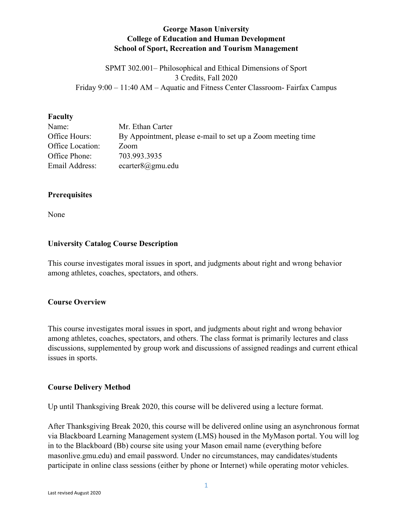#### **George Mason University College of Education and Human Development School of Sport, Recreation and Tourism Management**

SPMT 302.001– Philosophical and Ethical Dimensions of Sport 3 Credits, Fall 2020 Friday 9:00 – 11:40 AM – Aquatic and Fitness Center Classroom- Fairfax Campus

#### **Faculty**

| Name:            | Mr. Ethan Carter                                            |
|------------------|-------------------------------------------------------------|
| Office Hours:    | By Appointment, please e-mail to set up a Zoom meeting time |
| Office Location: | Zoom                                                        |
| Office Phone:    | 703.993.3935                                                |
| Email Address:   | ecarter $8@gmu$ .edu                                        |

#### **Prerequisites**

None

#### **University Catalog Course Description**

This course investigates moral issues in sport, and judgments about right and wrong behavior among athletes, coaches, spectators, and others.

#### **Course Overview**

This course investigates moral issues in sport, and judgments about right and wrong behavior among athletes, coaches, spectators, and others. The class format is primarily lectures and class discussions, supplemented by group work and discussions of assigned readings and current ethical issues in sports.

#### **Course Delivery Method**

Up until Thanksgiving Break 2020, this course will be delivered using a lecture format.

After Thanksgiving Break 2020, this course will be delivered online using an asynchronous format via Blackboard Learning Management system (LMS) housed in the MyMason portal. You will log in to the Blackboard (Bb) course site using your Mason email name (everything before masonlive.gmu.edu) and email password. Under no circumstances, may candidates/students participate in online class sessions (either by phone or Internet) while operating motor vehicles.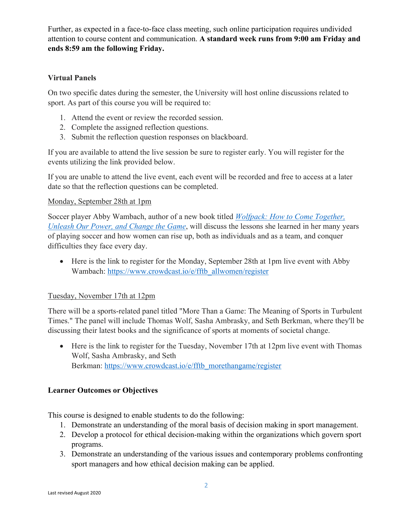Further, as expected in a face-to-face class meeting, such online participation requires undivided attention to course content and communication. **A standard week runs from 9:00 am Friday and ends 8:59 am the following Friday.**

#### **Virtual Panels**

On two specific dates during the semester, the University will host online discussions related to sport. As part of this course you will be required to:

- 1. Attend the event or review the recorded session.
- 2. Complete the assigned reflection questions.
- 3. Submit the reflection question responses on blackboard.

If you are available to attend the live session be sure to register early. You will register for the events utilizing the link provided below.

If you are unable to attend the live event, each event will be recorded and free to access at a later date so that the reflection questions can be completed.

#### Monday, September 28th at 1pm

Soccer player Abby Wambach, author of a new book titled *Wolfpack: How to Come Together, Unleash Our Power, and Change the Game*, will discuss the lessons she learned in her many years of playing soccer and how women can rise up, both as individuals and as a team, and conquer difficulties they face every day.

• Here is the link to register for the Monday, September 28th at 1pm live event with Abby Wambach: https://www.crowdcast.io/e/fftb\_allwomen/register

#### Tuesday, November 17th at 12pm

There will be a sports-related panel titled "More Than a Game: The Meaning of Sports in Turbulent Times." The panel will include Thomas Wolf, Sasha Ambrasky, and Seth Berkman, where they'll be discussing their latest books and the significance of sports at moments of societal change.

• Here is the link to register for the Tuesday, November 17th at 12pm live event with Thomas Wolf, Sasha Ambrasky, and Seth Berkman: https://www.crowdcast.io/e/fftb\_morethangame/register

#### **Learner Outcomes or Objectives**

This course is designed to enable students to do the following:

- 1. Demonstrate an understanding of the moral basis of decision making in sport management.
- 2. Develop a protocol for ethical decision-making within the organizations which govern sport programs.
- 3. Demonstrate an understanding of the various issues and contemporary problems confronting sport managers and how ethical decision making can be applied.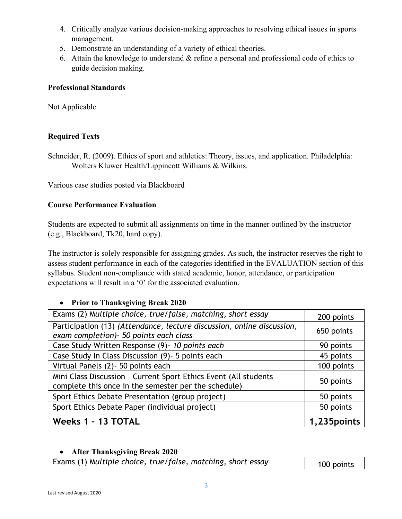- 4. Critically analyze various decision-making approaches to resolving ethical issues in sports management.
- 5. Demonstrate an understanding of a variety of ethical theories.
- 6. Attain the knowledge to understand & refine a personal and professional code of ethics to guide decision making.

#### **Professional Standards**

Not Applicable

#### **Required Texts**

Schneider, R. (2009). Ethics of sport and athletics: Theory, issues, and application. Philadelphia: Wolters Kluwer Health/Lippincott Williams & Wilkins.

Various case studies posted via Blackboard

#### **Course Performance Evaluation**

Students are expected to submit all assignments on time in the manner outlined by the instructor (e.g., Blackboard, Tk20, hard copy).

The instructor is solely responsible for assigning grades. As such, the instructor reserves the right to assess student performance in each of the categories identified in the EVALUATION section of this syllabus. Student non-compliance with stated academic, honor, attendance, or participation expectations will result in a '0' for the associated evaluation.

#### • **Prior to Thanksgiving Break 2020**

| Exams (2) Multiple choice, true/false, matching, short essay                                                             | 200 points   |
|--------------------------------------------------------------------------------------------------------------------------|--------------|
| Participation (13) (Attendance, lecture discussion, online discussion,<br>exam completion) - 50 points each class        | 650 points   |
| Case Study Written Response (9)- 10 points each                                                                          | 90 points    |
| Case Study In Class Discussion (9) - 5 points each                                                                       | 45 points    |
| Virtual Panels (2) - 50 points each                                                                                      | 100 points   |
| Mini Class Discussion - Current Sport Ethics Event (All students<br>complete this once in the semester per the schedule) | 50 points    |
| Sport Ethics Debate Presentation (group project)                                                                         | 50 points    |
| Sport Ethics Debate Paper (individual project)                                                                           | 50 points    |
| Weeks 1 - 13 TOTAL                                                                                                       | 1,235 points |

#### • **After Thanksgiving Break 2020**

| Exams (1) Multiple choice, true/false, matching, short essay | 100 points |
|--------------------------------------------------------------|------------|
|--------------------------------------------------------------|------------|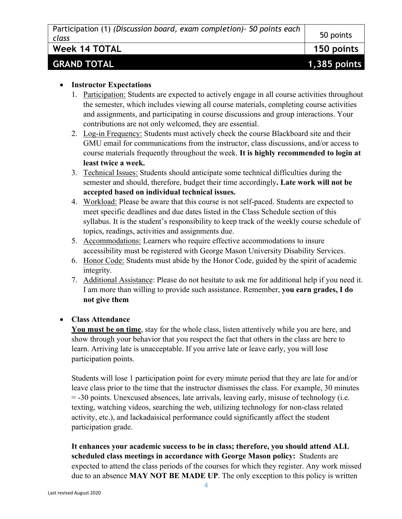| Participation (1) (Discussion board, exam completion) - 50 points each |           |
|------------------------------------------------------------------------|-----------|
| class                                                                  | 50 points |

**Week 14 TOTAL 150 points**

# **GRAND TOTAL 1,385 points**

#### • **Instructor Expectations**

- 1. Participation: Students are expected to actively engage in all course activities throughout the semester, which includes viewing all course materials, completing course activities and assignments, and participating in course discussions and group interactions. Your contributions are not only welcomed, they are essential.
- 2. Log-in Frequency: Students must actively check the course Blackboard site and their GMU email for communications from the instructor, class discussions, and/or access to course materials frequently throughout the week. **It is highly recommended to login at least twice a week.**
- 3. Technical Issues: Students should anticipate some technical difficulties during the semester and should, therefore, budget their time accordingly**. Late work will not be accepted based on individual technical issues.**
- 4. Workload: Please be aware that this course is not self-paced. Students are expected to meet specific deadlines and due dates listed in the Class Schedule section of this syllabus. It is the student's responsibility to keep track of the weekly course schedule of topics, readings, activities and assignments due.
- 5. Accommodations: Learners who require effective accommodations to insure accessibility must be registered with George Mason University Disability Services.
- 6. Honor Code: Students must abide by the Honor Code, guided by the spirit of academic integrity.
- 7. Additional Assistance: Please do not hesitate to ask me for additional help if you need it. I am more than willing to provide such assistance. Remember, **you earn grades, I do not give them**

#### • **Class Attendance**

**You must be on time**, stay for the whole class, listen attentively while you are here, and show through your behavior that you respect the fact that others in the class are here to learn. Arriving late is unacceptable. If you arrive late or leave early, you will lose participation points.

Students will lose 1 participation point for every minute period that they are late for and/or leave class prior to the time that the instructor dismisses the class. For example, 30 minutes = -30 points. Unexcused absences, late arrivals, leaving early, misuse of technology (i.e. texting, watching videos, searching the web, utilizing technology for non-class related activity, etc.), and lackadaisical performance could significantly affect the student participation grade.

**It enhances your academic success to be in class; therefore, you should attend ALL scheduled class meetings in accordance with George Mason policy:** Students are expected to attend the class periods of the courses for which they register. Any work missed due to an absence **MAY NOT BE MADE UP**. The only exception to this policy is written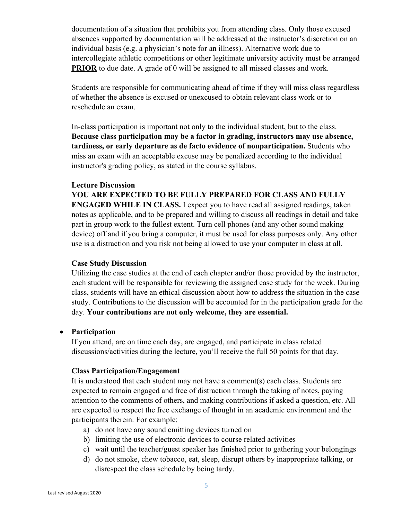documentation of a situation that prohibits you from attending class. Only those excused absences supported by documentation will be addressed at the instructor's discretion on an individual basis (e.g. a physician's note for an illness). Alternative work due to intercollegiate athletic competitions or other legitimate university activity must be arranged **PRIOR** to due date. A grade of 0 will be assigned to all missed classes and work.

Students are responsible for communicating ahead of time if they will miss class regardless of whether the absence is excused or unexcused to obtain relevant class work or to reschedule an exam.

In-class participation is important not only to the individual student, but to the class. **Because class participation may be a factor in grading, instructors may use absence, tardiness, or early departure as de facto evidence of nonparticipation.** Students who miss an exam with an acceptable excuse may be penalized according to the individual instructor's grading policy, as stated in the course syllabus.

#### **Lecture Discussion**

**YOU ARE EXPECTED TO BE FULLY PREPARED FOR CLASS AND FULLY ENGAGED WHILE IN CLASS.** I expect you to have read all assigned readings, taken notes as applicable, and to be prepared and willing to discuss all readings in detail and take part in group work to the fullest extent. Turn cell phones (and any other sound making device) off and if you bring a computer, it must be used for class purposes only. Any other use is a distraction and you risk not being allowed to use your computer in class at all.

#### **Case Study Discussion**

Utilizing the case studies at the end of each chapter and/or those provided by the instructor, each student will be responsible for reviewing the assigned case study for the week. During class, students will have an ethical discussion about how to address the situation in the case study. Contributions to the discussion will be accounted for in the participation grade for the day. **Your contributions are not only welcome, they are essential.**

#### • **Participation**

If you attend, are on time each day, are engaged, and participate in class related discussions/activities during the lecture, you'll receive the full 50 points for that day.

#### **Class Participation/Engagement**

It is understood that each student may not have a comment(s) each class. Students are expected to remain engaged and free of distraction through the taking of notes, paying attention to the comments of others, and making contributions if asked a question, etc. All are expected to respect the free exchange of thought in an academic environment and the participants therein. For example:

- a) do not have any sound emitting devices turned on
- b) limiting the use of electronic devices to course related activities
- c) wait until the teacher/guest speaker has finished prior to gathering your belongings
- d) do not smoke, chew tobacco, eat, sleep, disrupt others by inappropriate talking, or disrespect the class schedule by being tardy.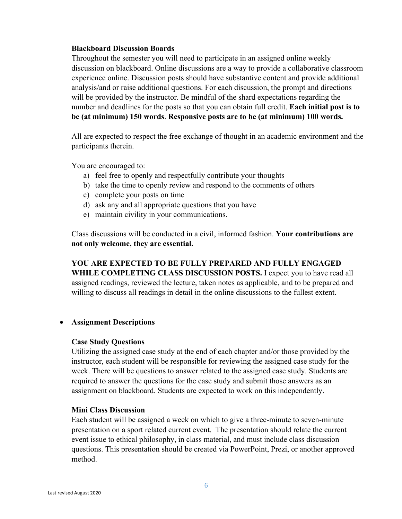#### **Blackboard Discussion Boards**

Throughout the semester you will need to participate in an assigned online weekly discussion on blackboard. Online discussions are a way to provide a collaborative classroom experience online. Discussion posts should have substantive content and provide additional analysis/and or raise additional questions. For each discussion, the prompt and directions will be provided by the instructor. Be mindful of the shard expectations regarding the number and deadlines for the posts so that you can obtain full credit. **Each initial post is to be (at minimum) 150 words**. **Responsive posts are to be (at minimum) 100 words.**

All are expected to respect the free exchange of thought in an academic environment and the participants therein.

You are encouraged to:

- a) feel free to openly and respectfully contribute your thoughts
- b) take the time to openly review and respond to the comments of others
- c) complete your posts on time
- d) ask any and all appropriate questions that you have
- e) maintain civility in your communications.

Class discussions will be conducted in a civil, informed fashion. **Your contributions are not only welcome, they are essential.**

**YOU ARE EXPECTED TO BE FULLY PREPARED AND FULLY ENGAGED WHILE COMPLETING CLASS DISCUSSION POSTS.** I expect you to have read all assigned readings, reviewed the lecture, taken notes as applicable, and to be prepared and willing to discuss all readings in detail in the online discussions to the fullest extent.

#### • **Assignment Descriptions**

#### **Case Study Questions**

Utilizing the assigned case study at the end of each chapter and/or those provided by the instructor, each student will be responsible for reviewing the assigned case study for the week. There will be questions to answer related to the assigned case study. Students are required to answer the questions for the case study and submit those answers as an assignment on blackboard. Students are expected to work on this independently.

#### **Mini Class Discussion**

Each student will be assigned a week on which to give a three-minute to seven-minute presentation on a sport related current event. The presentation should relate the current event issue to ethical philosophy, in class material, and must include class discussion questions. This presentation should be created via PowerPoint, Prezi, or another approved method.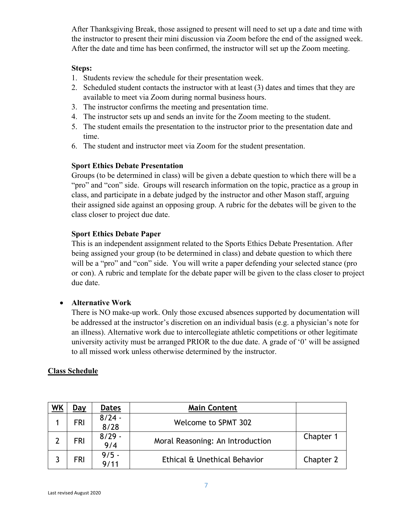After Thanksgiving Break, those assigned to present will need to set up a date and time with the instructor to present their mini discussion via Zoom before the end of the assigned week. After the date and time has been confirmed, the instructor will set up the Zoom meeting.

#### **Steps:**

- 1. Students review the schedule for their presentation week.
- 2. Scheduled student contacts the instructor with at least (3) dates and times that they are available to meet via Zoom during normal business hours.
- 3. The instructor confirms the meeting and presentation time.
- 4. The instructor sets up and sends an invite for the Zoom meeting to the student.
- 5. The student emails the presentation to the instructor prior to the presentation date and time.
- 6. The student and instructor meet via Zoom for the student presentation.

#### **Sport Ethics Debate Presentation**

Groups (to be determined in class) will be given a debate question to which there will be a "pro" and "con" side. Groups will research information on the topic, practice as a group in class, and participate in a debate judged by the instructor and other Mason staff, arguing their assigned side against an opposing group. A rubric for the debates will be given to the class closer to project due date.

#### **Sport Ethics Debate Paper**

This is an independent assignment related to the Sports Ethics Debate Presentation. After being assigned your group (to be determined in class) and debate question to which there will be a "pro" and "con" side. You will write a paper defending your selected stance (pro or con). A rubric and template for the debate paper will be given to the class closer to project due date.

#### • **Alternative Work**

There is NO make-up work. Only those excused absences supported by documentation will be addressed at the instructor's discretion on an individual basis (e.g. a physician's note for an illness). Alternative work due to intercollegiate athletic competitions or other legitimate university activity must be arranged PRIOR to the due date. A grade of '0' will be assigned to all missed work unless otherwise determined by the instructor.

#### **Class Schedule**

| WK | Day        | <b>Dates</b>     | <b>Main Content</b>              |           |
|----|------------|------------------|----------------------------------|-----------|
|    | <b>FRI</b> | $8/24 -$<br>8/28 | Welcome to SPMT 302              |           |
| າ  | <b>FRI</b> | $8/29 -$<br>9/4  | Moral Reasoning: An Introduction | Chapter 1 |
|    | <b>FRI</b> | $9/5 -$<br>9/11  | Ethical & Unethical Behavior     | Chapter 2 |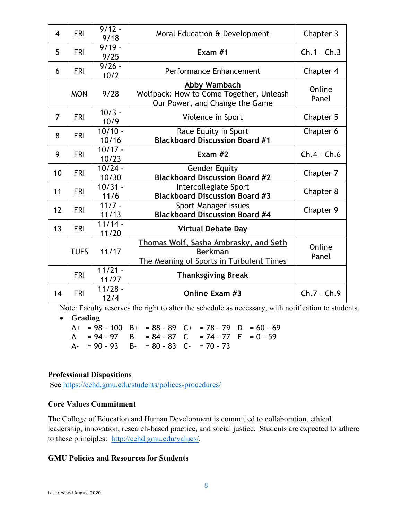| $\overline{4}$ | <b>FRI</b>  | $9/12 -$<br>9/18   | Moral Education & Development                                                                       | Chapter 3       |
|----------------|-------------|--------------------|-----------------------------------------------------------------------------------------------------|-----------------|
| 5              | <b>FRI</b>  | $9/19 -$<br>9/25   | Exam $#1$                                                                                           | $Ch.1 - Ch.3$   |
| 6              | <b>FRI</b>  | $9/26 -$<br>10/2   | Performance Enhancement                                                                             | Chapter 4       |
|                | <b>MON</b>  | 9/28               | Abby Wambach<br>Wolfpack: How to Come Together, Unleash<br>Our Power, and Change the Game           | Online<br>Panel |
| $\overline{7}$ | <b>FRI</b>  | $10/3 -$<br>10/9   | Violence in Sport                                                                                   | Chapter 5       |
| 8              | <b>FRI</b>  | $10/10 -$<br>10/16 | Race Equity in Sport<br><b>Blackboard Discussion Board #1</b>                                       | Chapter 6       |
| 9              | <b>FRI</b>  | $10/17 -$<br>10/23 | Exam $#2$                                                                                           | $Ch.4 - Ch.6$   |
| 10             | <b>FRI</b>  | $10/24 -$<br>10/30 | <b>Gender Equity</b><br><b>Blackboard Discussion Board #2</b>                                       | Chapter 7       |
| 11             | <b>FRI</b>  | $10/31 -$<br>11/6  | Intercollegiate Sport<br><b>Blackboard Discussion Board #3</b>                                      | Chapter 8       |
| 12             | <b>FRI</b>  | $11/7 -$<br>11/13  | Sport Manager Issues<br><b>Blackboard Discussion Board #4</b>                                       | Chapter 9       |
| 13             | <b>FRI</b>  | $11/14 -$<br>11/20 | <b>Virtual Debate Day</b>                                                                           |                 |
|                | <b>TUES</b> | 11/17              | Thomas Wolf, Sasha Ambrasky, and Seth<br><b>Berkman</b><br>The Meaning of Sports in Turbulent Times | Online<br>Panel |
|                | <b>FRI</b>  | $11/21 -$<br>11/27 | <b>Thanksgiving Break</b>                                                                           |                 |
| 14             | <b>FRI</b>  | $11/28 -$<br>12/4  | Online Exam #3                                                                                      | $Ch.7 - Ch.9$   |

Note: Faculty reserves the right to alter the schedule as necessary, with notification to students.

• **Grading**

 $A+ = 98 - 100$   $B+ = 88 - 89$   $C+ = 78 - 79$   $D = 60 - 69$ A =  $94 - 97$  B =  $84 - 87$  C =  $74 - 77$  F =  $0 - 59$ A- =  $90 - 93$  B- =  $80 - 83$  C- =  $70 - 73$ 

#### **Professional Dispositions**

See https://cehd.gmu.edu/students/polices-procedures/

#### **Core Values Commitment**

The College of Education and Human Development is committed to collaboration, ethical leadership, innovation, research-based practice, and social justice. Students are expected to adhere to these principles: http://cehd.gmu.edu/values/.

#### **GMU Policies and Resources for Students**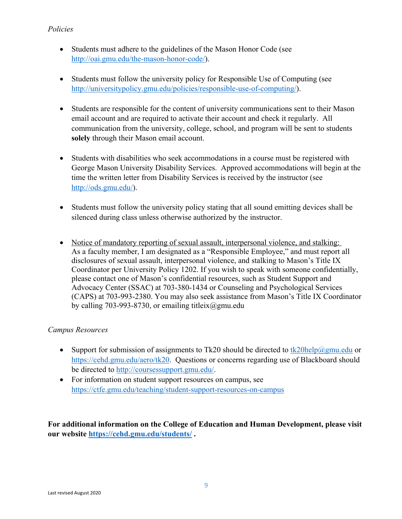#### *Policies*

- Students must adhere to the guidelines of the Mason Honor Code (see http://oai.gmu.edu/the-mason-honor-code/).
- Students must follow the university policy for Responsible Use of Computing (see http://universitypolicy.gmu.edu/policies/responsible-use-of-computing/).
- Students are responsible for the content of university communications sent to their Mason email account and are required to activate their account and check it regularly. All communication from the university, college, school, and program will be sent to students **solely** through their Mason email account.
- Students with disabilities who seek accommodations in a course must be registered with George Mason University Disability Services. Approved accommodations will begin at the time the written letter from Disability Services is received by the instructor (see http://ods.gmu.edu/).
- Students must follow the university policy stating that all sound emitting devices shall be silenced during class unless otherwise authorized by the instructor.
- Notice of mandatory reporting of sexual assault, interpersonal violence, and stalking: As a faculty member, I am designated as a "Responsible Employee," and must report all disclosures of sexual assault, interpersonal violence, and stalking to Mason's Title IX Coordinator per University Policy 1202. If you wish to speak with someone confidentially, please contact one of Mason's confidential resources, such as Student Support and Advocacy Center (SSAC) at 703-380-1434 or Counseling and Psychological Services (CAPS) at 703-993-2380. You may also seek assistance from Mason's Title IX Coordinator by calling 703-993-8730, or emailing titleix@gmu.edu

#### *Campus Resources*

- Support for submission of assignments to Tk20 should be directed to tk20help@gmu.edu or https://cehd.gmu.edu/aero/tk20. Questions or concerns regarding use of Blackboard should be directed to http://coursessupport.gmu.edu/.
- For information on student support resources on campus, see https://ctfe.gmu.edu/teaching/student-support-resources-on-campus

**For additional information on the College of Education and Human Development, please visit our website https://cehd.gmu.edu/students/ .**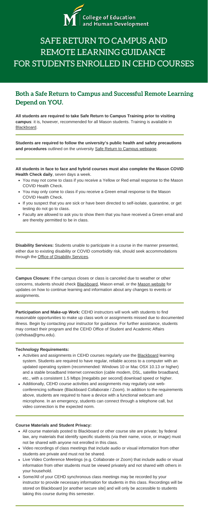

# SAFE RETURN TO CAMPUS AND REMOTE LEARNING GUIDANCE FOR STUDENTS ENROLLED IN CEHD COURSES

# **Both a Safe Return to Campus and Successful Remote Learning Depend on YOU.**

**All students are required to take Safe Return to Campus Training prior to visiting campus**: it is, however, recommended for all Mason students. Training is available in [Blackboard](https://mymasonportal.gmu.edu/).

**Students are required to follow the university's public health and safety precautions and procedures** outlined on the university [Safe Return to Campus webpage.](https://www2.gmu.edu/Safe-Return-Campus)

- You may not come to class if you receive a Yellow or Red email response to the Mason COVID Health Check.
- You may only come to class if you receive a Green email response to the Mason COVID Health Check.
- If you suspect that you are sick or have been directed to self-isolate, quarantine, or get testing do not go to class.
- Faculty are allowed to ask you to show them that you have received a Green email and are thereby permitted to be in class.

**All students in face to face and hybrid courses must also complete the Mason COVID Health Check daily**, seven days a week.

**Disability Services:** Students unable to participate in a course in the manner presented, either due to existing disability or COVID comorbidity risk, should seek accommodations through the [Office of Disability Services](https://ds.gmu.edu/response-to-covid-19/).

- Activities and assignments in CEHD courses regularly use the [Blackboard](https://mymason.gmu.edu/) learning system. Students are required to have regular, reliable access to a computer with an updated operating system (recommended: Windows 10 or Mac OSX 10.13 or higher) and a stable broadband Internet connection (cable modem, DSL, satellite broadband, etc., with a consistent 1.5 Mbps [megabits per second] download speed or higher.
- Additionally, CEHD course activities and assignments may regularly use webconferencing software (Blackboard Collaborate / Zoom). In addition to the requirements above, students are required to have a device with a functional webcam and microphone. In an emergency, students can connect through a telephone call, but video connection is the expected norm.

**Campus Closure:** If the campus closes or class is canceled due to weather or other concerns, students should check [Blackboard,](https://mymasonportal.gmu.edu/) Mason email, or the [Mason website](https://www2.gmu.edu/) for updates on how to continue learning and information about any changes to events or assignments.

**Participation and Make-up Work:** CEHD instructors will work with students to find reasonable opportunities to make up class work or assignments missed due to documented illness. Begin by contacting your instructor for guidance. For further assistance, students may contact their program and the CEHD Office of Student and Academic Affairs [\(cehdsaa@gmu.edu](mailto:cehdsaa@gmu.edu)).

- All course materials posted to Blackboard or other course site are private; by federal law, any materials that identify specific students (via their name, voice, or image) must not be shared with anyone not enrolled in this class.
- Video recordings of class meetings that include audio or visual information from other students are private and must not be shared.
- Live Video Conference Meetings (e.g. Collaborate or Zoom) that include audio or visual information from other students must be viewed privately and not shared with others in your household.
- Some/All of your CEHD synchronous class meetings may be recorded by your instructor to provide necessary information for students in this class. Recordings will be stored on Blackboard [or another secure site] and will only be accessible to students taking this course during this semester.

#### **Technology Requirements:**

#### **Course Materials and Student Privacy:**